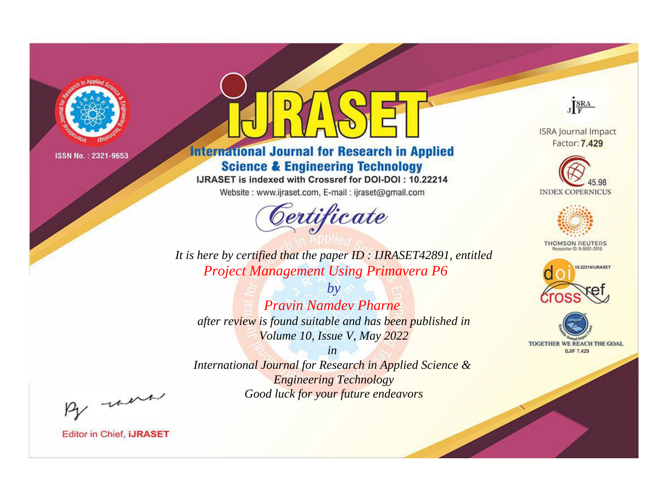

# **International Journal for Research in Applied Science & Engineering Technology**

IJRASET is indexed with Crossref for DOI-DOI: 10.22214

Website: www.ijraset.com, E-mail: ijraset@gmail.com



JERA

**ISRA Journal Impact** Factor: 7.429





**THOMSON REUTERS** 



TOGETHER WE REACH THE GOAL **SJIF 7.429** 

It is here by certified that the paper ID: IJRASET42891, entitled **Project Management Using Primavera P6** 

 $b\nu$ **Pravin Namdev Pharne** after review is found suitable and has been published in Volume 10, Issue V, May 2022

 $in$ International Journal for Research in Applied Science & **Engineering Technology** Good luck for your future endeavors

By morn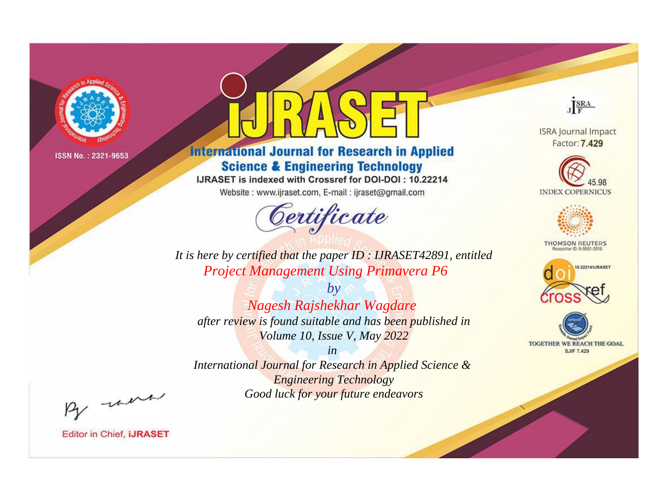

# **International Journal for Research in Applied Science & Engineering Technology**

IJRASET is indexed with Crossref for DOI-DOI: 10.22214

Website: www.ijraset.com, E-mail: ijraset@gmail.com



JERA

**ISRA Journal Impact** Factor: 7.429





**THOMSON REUTERS** 



TOGETHER WE REACH THE GOAL **SJIF 7.429** 

It is here by certified that the paper ID: IJRASET42891, entitled **Project Management Using Primavera P6** 

 $by$ Nagesh Rajshekhar Wagdare after review is found suitable and has been published in Volume 10, Issue V, May 2022

 $in$ International Journal for Research in Applied Science & **Engineering Technology** Good luck for your future endeavors

By morn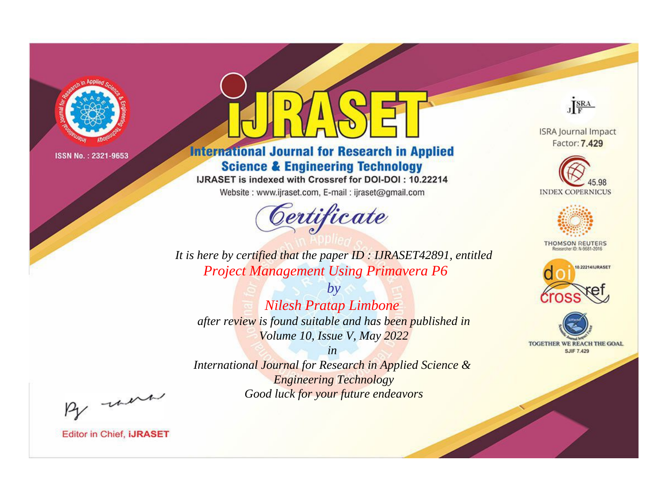

# **International Journal for Research in Applied Science & Engineering Technology**

IJRASET is indexed with Crossref for DOI-DOI: 10.22214

Website: www.ijraset.com, E-mail: ijraset@gmail.com



JERA

**ISRA Journal Impact** Factor: 7.429





**THOMSON REUTERS** 



TOGETHER WE REACH THE GOAL **SJIF 7.429** 

It is here by certified that the paper ID: IJRASET42891, entitled **Project Management Using Primavera P6** 

 $b\nu$ **Nilesh Pratap Limbone** after review is found suitable and has been published in Volume 10, Issue V, May 2022

 $in$ International Journal for Research in Applied Science & **Engineering Technology** Good luck for your future endeavors

By morn